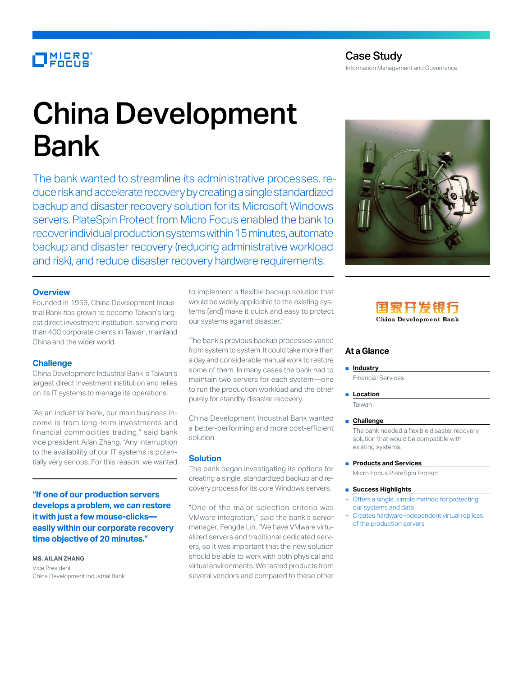## MICRO<br>FOCUS

# China Development Bank

The bank wanted to streamline its administrative processes, reduce risk and accelerate recovery by creating a single standardized backup and disaster recovery solution for its Microsoft Windows servers. PlateSpin Protect from Micro Focus enabled the bank to recover individual production systems within 15 minutes, automate backup and disaster recovery (reducing administrative workload and risk), and reduce disaster recovery hardware requirements.

#### **Overview**

Founded in 1959, China Development Industrial Bank has grown to become Taiwan's largest direct investment institution, serving more than 400 corporate clients in Taiwan, mainland China and the wider world.

#### **Challenge**

China Development Industrial Bank is Taiwan's largest direct investment institution and relies on its IT systems to manage its operations.

"As an industrial bank, our main business income is from long-term investments and financial commodities trading," said bank vice president Ailan Zhang. "Any interruption to the availability of our IT systems is potentially very serious. For this reason, we wanted

**"If one of our production servers develops a problem, we can restore it with just a few mouse-clicks easily within our corporate recovery time objective of 20 minutes."**

**MS. AILAN ZHANG** Vice President China Development Industrial Bank to implement a flexible backup solution that would be widely applicable to the existing systems [and] make it quick and easy to protect our systems against disaster."

The bank's previous backup processes varied from system to system. It could take more than a day and considerable manual work to restore some of them. In many cases the bank had to maintain two servers for each system—one to run the production workload and the other purely for standby disaster recovery.

China Development Industrial Bank wanted a better-performing and more cost-efficient solution.

#### **Solution**

The bank began investigating its options for creating a single, standardized backup and recovery process for its core Windows servers.

"One of the major selection criteria was VMware integration," said the bank's senior manager, Fengde Lin. "We have VMware virtualized servers and traditional dedicated servers, so it was important that the new solution should be able to work with both physical and virtual environments. We tested products from several vendors and compared to these other





### **At a Glance**

■ **Industry**

Financial Services

■ **Location** Taiwan

#### ■ **Challenge**

The bank needed a flexible disaster recovery solution that would be compatible with existing systems.

■ **Products and Services**

Micro Focus PlateSpin Protect

- **Success Highlights**
- Offers a single, simple method for protecting our systems and data
- Creates hardware-independent virtual replicas of the production servers